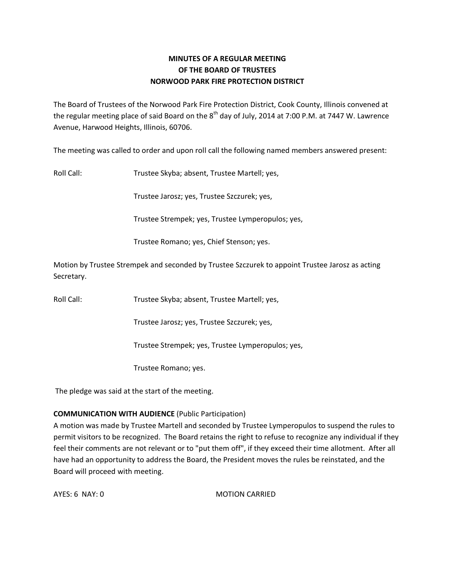# **MINUTES OF A REGULAR MEETING OF THE BOARD OF TRUSTEES NORWOOD PARK FIRE PROTECTION DISTRICT**

The Board of Trustees of the Norwood Park Fire Protection District, Cook County, Illinois convened at the regular meeting place of said Board on the  $8<sup>th</sup>$  day of July, 2014 at 7:00 P.M. at 7447 W. Lawrence Avenue, Harwood Heights, Illinois, 60706.

The meeting was called to order and upon roll call the following named members answered present:

Roll Call: Trustee Skyba; absent, Trustee Martell; yes,

Trustee Jarosz; yes, Trustee Szczurek; yes,

Trustee Strempek; yes, Trustee Lymperopulos; yes,

Trustee Romano; yes, Chief Stenson; yes.

Motion by Trustee Strempek and seconded by Trustee Szczurek to appoint Trustee Jarosz as acting Secretary.

Roll Call: Trustee Skyba; absent, Trustee Martell; yes,

Trustee Jarosz; yes, Trustee Szczurek; yes,

Trustee Strempek; yes, Trustee Lymperopulos; yes,

Trustee Romano; yes.

The pledge was said at the start of the meeting.

# **COMMUNICATION WITH AUDIENCE** (Public Participation)

A motion was made by Trustee Martell and seconded by Trustee Lymperopulos to suspend the rules to permit visitors to be recognized. The Board retains the right to refuse to recognize any individual if they feel their comments are not relevant or to "put them off", if they exceed their time allotment. After all have had an opportunity to address the Board, the President moves the rules be reinstated, and the Board will proceed with meeting.

AYES: 6 NAY: 0 MOTION CARRIED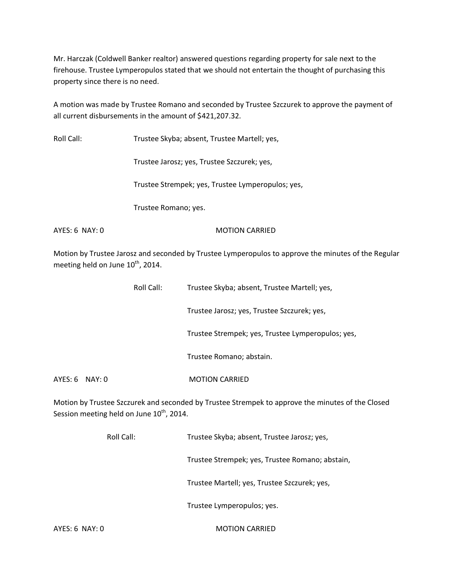Mr. Harczak (Coldwell Banker realtor) answered questions regarding property for sale next to the firehouse. Trustee Lymperopulos stated that we should not entertain the thought of purchasing this property since there is no need.

A motion was made by Trustee Romano and seconded by Trustee Szczurek to approve the payment of all current disbursements in the amount of \$421,207.32.

Roll Call: Trustee Skyba; absent, Trustee Martell; yes,

Trustee Jarosz; yes, Trustee Szczurek; yes,

Trustee Strempek; yes, Trustee Lymperopulos; yes,

Trustee Romano; yes.

AYES: 6 NAY: 0 MOTION CARRIED

Motion by Trustee Jarosz and seconded by Trustee Lymperopulos to approve the minutes of the Regular meeting held on June 10<sup>th</sup>, 2014.

|                | Roll Call: | Trustee Skyba; absent, Trustee Martell; yes,      |
|----------------|------------|---------------------------------------------------|
|                |            | Trustee Jarosz; yes, Trustee Szczurek; yes,       |
|                |            | Trustee Strempek; yes, Trustee Lymperopulos; yes, |
|                |            | Trustee Romano; abstain.                          |
| AYES: 6 NAY: 0 |            | <b>MOTION CARRIED</b>                             |

Motion by Trustee Szczurek and seconded by Trustee Strempek to approve the minutes of the Closed Session meeting held on June 10<sup>th</sup>, 2014.

|                  | Roll Call: | Trustee Skyba; absent, Trustee Jarosz; yes,     |
|------------------|------------|-------------------------------------------------|
|                  |            | Trustee Strempek; yes, Trustee Romano; abstain, |
|                  |            | Trustee Martell; yes, Trustee Szczurek; yes,    |
|                  |            | Trustee Lymperopulos; yes.                      |
| $AYES: 6$ NAY: 0 |            | <b>MOTION CARRIED</b>                           |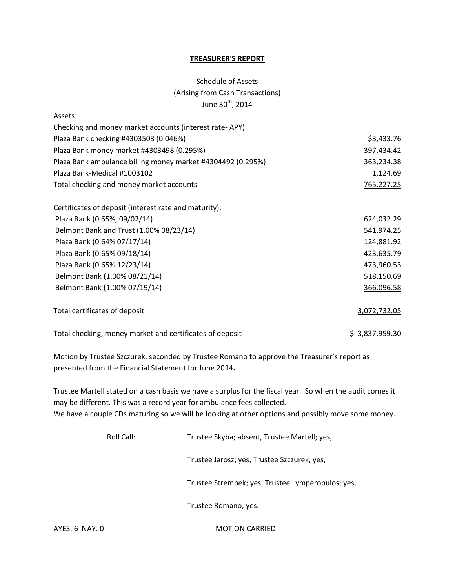### **TREASURER'S REPORT**

# Schedule of Assets (Arising from Cash Transactions) June  $30<sup>th</sup>$ , 2014

| Assets                                                      |                |
|-------------------------------------------------------------|----------------|
| Checking and money market accounts (interest rate-APY):     |                |
| Plaza Bank checking #4303503 (0.046%)                       | \$3,433.76     |
| Plaza Bank money market #4303498 (0.295%)                   | 397,434.42     |
| Plaza Bank ambulance billing money market #4304492 (0.295%) | 363,234.38     |
| Plaza Bank-Medical #1003102                                 | 1,124.69       |
| Total checking and money market accounts                    | 765,227.25     |
| Certificates of deposit (interest rate and maturity):       |                |
| Plaza Bank (0.65%, 09/02/14)                                | 624,032.29     |
| Belmont Bank and Trust (1.00% 08/23/14)                     | 541,974.25     |
| Plaza Bank (0.64% 07/17/14)                                 | 124,881.92     |
| Plaza Bank (0.65% 09/18/14)                                 | 423,635.79     |
| Plaza Bank (0.65% 12/23/14)                                 | 473,960.53     |
| Belmont Bank (1.00% 08/21/14)                               | 518,150.69     |
| Belmont Bank (1.00% 07/19/14)                               | 366,096.58     |
| Total certificates of deposit                               | 3,072,732.05   |
| Total checking, money market and certificates of deposit    | \$3,837,959.30 |

Motion by Trustee Szczurek, seconded by Trustee Romano to approve the Treasurer's report as presented from the Financial Statement for June 2014**.** 

Trustee Martell stated on a cash basis we have a surplus for the fiscal year. So when the audit comes it may be different. This was a record year for ambulance fees collected. We have a couple CDs maturing so we will be looking at other options and possibly move some money.

| Roll Call: | Trustee Skyba; absent, Trustee Martell; yes,      |  |
|------------|---------------------------------------------------|--|
|            | Trustee Jarosz; yes, Trustee Szczurek; yes,       |  |
|            | Trustee Strempek; yes, Trustee Lymperopulos; yes, |  |
|            | Trustee Romano; yes.                              |  |
|            |                                                   |  |

AYES: 6 NAY: 0 MOTION CARRIED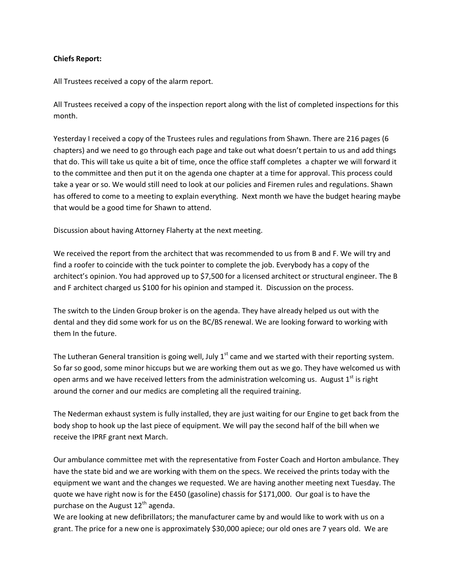## **Chiefs Report:**

All Trustees received a copy of the alarm report.

All Trustees received a copy of the inspection report along with the list of completed inspections for this month.

Yesterday I received a copy of the Trustees rules and regulations from Shawn. There are 216 pages (6 chapters) and we need to go through each page and take out what doesn't pertain to us and add things that do. This will take us quite a bit of time, once the office staff completes a chapter we will forward it to the committee and then put it on the agenda one chapter at a time for approval. This process could take a year or so. We would still need to look at our policies and Firemen rules and regulations. Shawn has offered to come to a meeting to explain everything. Next month we have the budget hearing maybe that would be a good time for Shawn to attend.

Discussion about having Attorney Flaherty at the next meeting.

We received the report from the architect that was recommended to us from B and F. We will try and find a roofer to coincide with the tuck pointer to complete the job. Everybody has a copy of the architect's opinion. You had approved up to \$7,500 for a licensed architect or structural engineer. The B and F architect charged us \$100 for his opinion and stamped it. Discussion on the process.

The switch to the Linden Group broker is on the agenda. They have already helped us out with the dental and they did some work for us on the BC/BS renewal. We are looking forward to working with them In the future.

The Lutheran General transition is going well, July  $1<sup>st</sup>$  came and we started with their reporting system. So far so good, some minor hiccups but we are working them out as we go. They have welcomed us with open arms and we have received letters from the administration welcoming us. August  $1<sup>st</sup>$  is right around the corner and our medics are completing all the required training.

The Nederman exhaust system is fully installed, they are just waiting for our Engine to get back from the body shop to hook up the last piece of equipment. We will pay the second half of the bill when we receive the IPRF grant next March.

Our ambulance committee met with the representative from Foster Coach and Horton ambulance. They have the state bid and we are working with them on the specs. We received the prints today with the equipment we want and the changes we requested. We are having another meeting next Tuesday. The quote we have right now is for the E450 (gasoline) chassis for \$171,000. Our goal is to have the purchase on the August  $12^{th}$  agenda.

We are looking at new defibrillators; the manufacturer came by and would like to work with us on a grant. The price for a new one is approximately \$30,000 apiece; our old ones are 7 years old. We are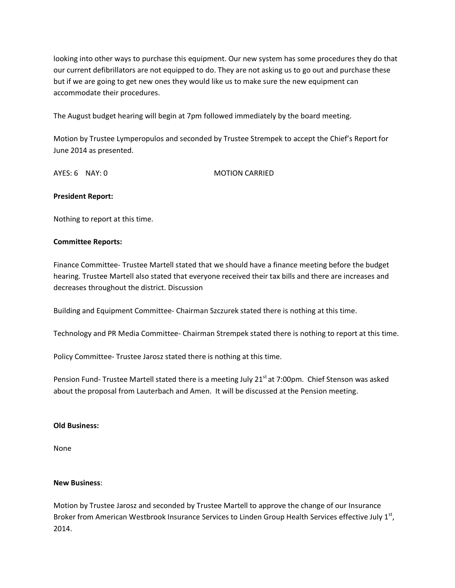looking into other ways to purchase this equipment. Our new system has some procedures they do that our current defibrillators are not equipped to do. They are not asking us to go out and purchase these but if we are going to get new ones they would like us to make sure the new equipment can accommodate their procedures.

The August budget hearing will begin at 7pm followed immediately by the board meeting.

Motion by Trustee Lymperopulos and seconded by Trustee Strempek to accept the Chief's Report for June 2014 as presented.

AYES: 6 NAY: 0 MOTION CARRIED

#### **President Report:**

Nothing to report at this time.

#### **Committee Reports:**

Finance Committee- Trustee Martell stated that we should have a finance meeting before the budget hearing. Trustee Martell also stated that everyone received their tax bills and there are increases and decreases throughout the district. Discussion

Building and Equipment Committee- Chairman Szczurek stated there is nothing at this time.

Technology and PR Media Committee- Chairman Strempek stated there is nothing to report at this time.

Policy Committee- Trustee Jarosz stated there is nothing at this time.

Pension Fund- Trustee Martell stated there is a meeting July 21<sup>st</sup> at 7:00pm. Chief Stenson was asked about the proposal from Lauterbach and Amen. It will be discussed at the Pension meeting.

#### **Old Business:**

None

#### **New Business**:

Motion by Trustee Jarosz and seconded by Trustee Martell to approve the change of our Insurance Broker from American Westbrook Insurance Services to Linden Group Health Services effective July  $1<sup>st</sup>$ , 2014.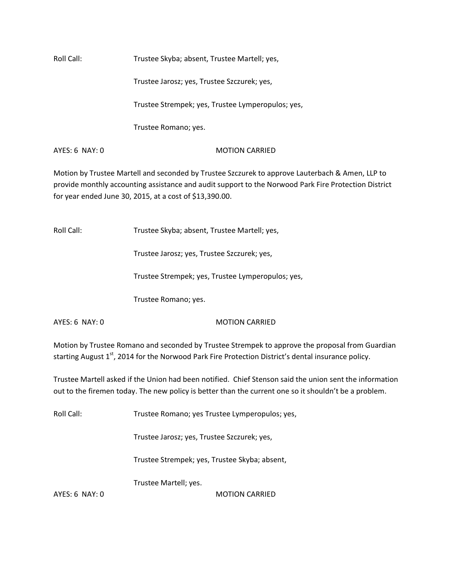Roll Call: Trustee Skyba; absent, Trustee Martell; yes,

Trustee Jarosz; yes, Trustee Szczurek; yes,

Trustee Strempek; yes, Trustee Lymperopulos; yes,

Trustee Romano; yes.

AYES: 6 NAY: 0 MOTION CARRIED

Motion by Trustee Martell and seconded by Trustee Szczurek to approve Lauterbach & Amen, LLP to provide monthly accounting assistance and audit support to the Norwood Park Fire Protection District for year ended June 30, 2015, at a cost of \$13,390.00.

Roll Call: Trustee Skyba; absent, Trustee Martell; yes,

Trustee Jarosz; yes, Trustee Szczurek; yes,

Trustee Strempek; yes, Trustee Lymperopulos; yes,

Trustee Romano; yes.

## AYES: 6 NAY: 0 MOTION CARRIED

Motion by Trustee Romano and seconded by Trustee Strempek to approve the proposal from Guardian starting August 1<sup>st</sup>, 2014 for the Norwood Park Fire Protection District's dental insurance policy.

Trustee Martell asked if the Union had been notified. Chief Stenson said the union sent the information out to the firemen today. The new policy is better than the current one so it shouldn't be a problem.

Roll Call: Trustee Romano; yes Trustee Lymperopulos; yes,

Trustee Jarosz; yes, Trustee Szczurek; yes,

Trustee Strempek; yes, Trustee Skyba; absent,

Trustee Martell; yes.

AYES: 6 NAY: 0 MOTION CARRIED